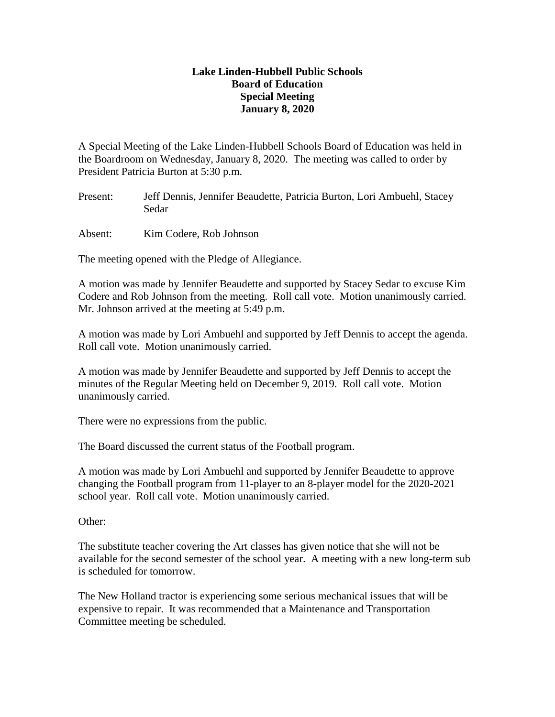## **Lake Linden-Hubbell Public Schools Board of Education Special Meeting January 8, 2020**

A Special Meeting of the Lake Linden-Hubbell Schools Board of Education was held in the Boardroom on Wednesday, January 8, 2020. The meeting was called to order by President Patricia Burton at 5:30 p.m.

Present: Jeff Dennis, Jennifer Beaudette, Patricia Burton, Lori Ambuehl, Stacey Sedar

Absent: Kim Codere, Rob Johnson

The meeting opened with the Pledge of Allegiance.

A motion was made by Jennifer Beaudette and supported by Stacey Sedar to excuse Kim Codere and Rob Johnson from the meeting. Roll call vote. Motion unanimously carried. Mr. Johnson arrived at the meeting at 5:49 p.m.

A motion was made by Lori Ambuehl and supported by Jeff Dennis to accept the agenda. Roll call vote. Motion unanimously carried.

A motion was made by Jennifer Beaudette and supported by Jeff Dennis to accept the minutes of the Regular Meeting held on December 9, 2019. Roll call vote. Motion unanimously carried.

There were no expressions from the public.

The Board discussed the current status of the Football program.

A motion was made by Lori Ambuehl and supported by Jennifer Beaudette to approve changing the Football program from 11-player to an 8-player model for the 2020-2021 school year. Roll call vote. Motion unanimously carried.

Other:

The substitute teacher covering the Art classes has given notice that she will not be available for the second semester of the school year. A meeting with a new long-term sub is scheduled for tomorrow.

The New Holland tractor is experiencing some serious mechanical issues that will be expensive to repair. It was recommended that a Maintenance and Transportation Committee meeting be scheduled.